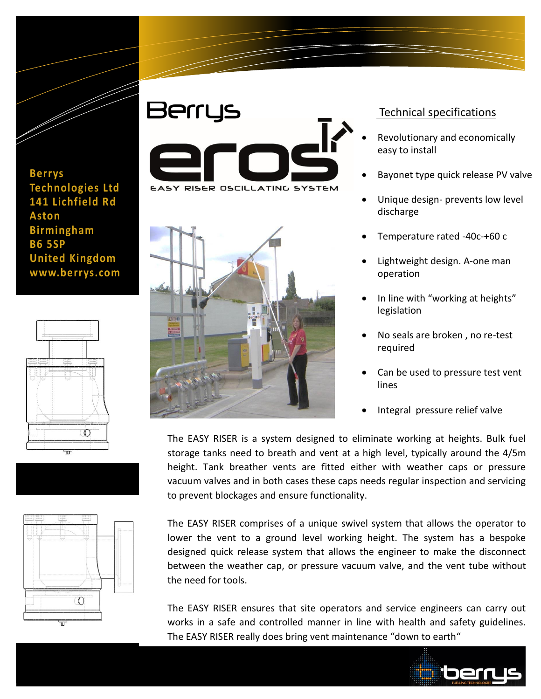

**Berrys Technologies Ltd 141 Lichfield Rd Aston Birmingham B6 5SP United Kingdom www.berrys.com**







## Berrys EASY RISER OSCILLATING SYSTEM

Information Technology Solutions



## Technical specifications

- Revolutionary and economically easy to install
- Bayonet type quick release PV valve
- Unique design- prevents low level discharge
- Temperature rated -40c-+60 c
- Lightweight design. A-one man operation
- In line with "working at heights" legislation
- No seals are broken , no re-test required
- Can be used to pressure test vent lines
- Integral pressure relief valve

The EASY RISER is a system designed to eliminate working at heights. Bulk fuel storage tanks need to breath and vent at a high level, typically around the 4/5m height. Tank breather vents are fitted either with weather caps or pressure vacuum valves and in both cases these caps needs regular inspection and servicing to prevent blockages and ensure functionality.

The EASY RISER comprises of a unique swivel system that allows the operator to lower the vent to a ground level working height. The system has a bespoke designed quick release system that allows the engineer to make the disconnect between the weather cap, or pressure vacuum valve, and the vent tube without the need for tools.

The EASY RISER ensures that site operators and service engineers can carry out works in a safe and controlled manner in line with health and safety guidelines. The EASY RISER really does bring vent maintenance "down to earth"

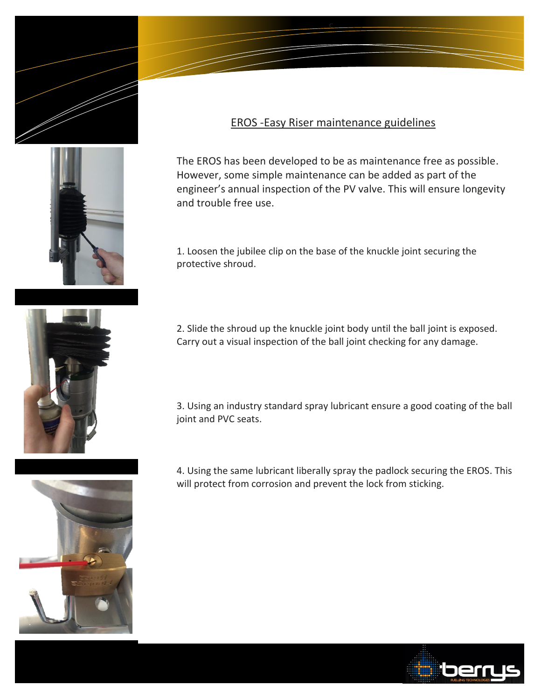



## EROS -Easy Riser maintenance guidelines

c

The EROS has been developed to be as maintenance free as possible. However, some simple maintenance can be added as part of the engineer's annual inspection of the PV valve. This will ensure longevity and trouble free use.

1. Loosen the jubilee clip on the base of the knuckle joint securing the protective shroud.



2. Slide the shroud up the knuckle joint body until the ball joint is exposed. Carry out a visual inspection of the ball joint checking for any damage.

3. Using an industry standard spray lubricant ensure a good coating of the ball joint and PVC seats.

4. Using the same lubricant liberally spray the padlock securing the EROS. This will protect from corrosion and prevent the lock from sticking.